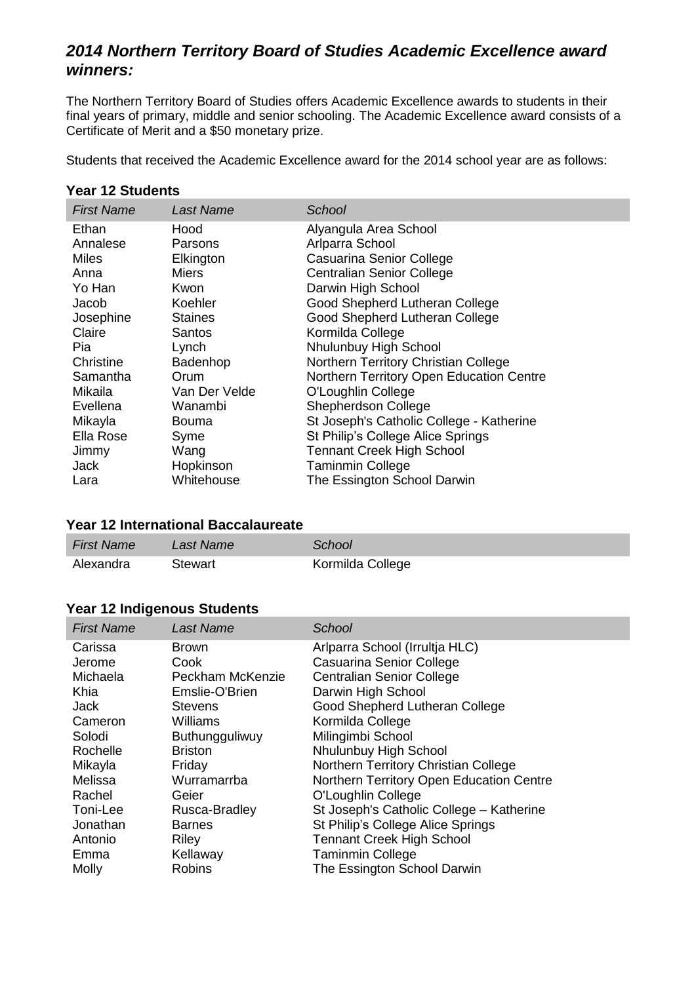# *2014 Northern Territory Board of Studies Academic Excellence award winners:*

The Northern Territory Board of Studies offers Academic Excellence awards to students in their final years of primary, middle and senior schooling. The Academic Excellence award consists of a Certificate of Merit and a \$50 monetary prize.

Students that received the Academic Excellence award for the 2014 school year are as follows:

#### **Year 12 Students**

| <b>First Name</b>                                                                                                                                                                   | Last Name                                                                                                                                                                                  | School                                                                                                                                                                                                                                                                                                                                                                                                                                                                                                                                  |
|-------------------------------------------------------------------------------------------------------------------------------------------------------------------------------------|--------------------------------------------------------------------------------------------------------------------------------------------------------------------------------------------|-----------------------------------------------------------------------------------------------------------------------------------------------------------------------------------------------------------------------------------------------------------------------------------------------------------------------------------------------------------------------------------------------------------------------------------------------------------------------------------------------------------------------------------------|
| Ethan<br>Annalese<br><b>Miles</b><br>Anna<br>Yo Han<br>Jacob<br>Josephine<br>Claire<br>Pia<br>Christine<br>Samantha<br>Mikaila<br>Evellena<br>Mikayla<br>Ella Rose<br>Jimmy<br>Jack | Hood<br>Parsons<br>Elkington<br><b>Miers</b><br>Kwon<br>Koehler<br><b>Staines</b><br>Santos<br>Lynch<br>Badenhop<br>Orum<br>Van Der Velde<br>Wanambi<br>Bouma<br>Syme<br>Wang<br>Hopkinson | Alyangula Area School<br>Arlparra School<br>Casuarina Senior College<br><b>Centralian Senior College</b><br>Darwin High School<br>Good Shepherd Lutheran College<br>Good Shepherd Lutheran College<br>Kormilda College<br>Nhulunbuy High School<br>Northern Territory Christian College<br>Northern Territory Open Education Centre<br>O'Loughlin College<br><b>Shepherdson College</b><br>St Joseph's Catholic College - Katherine<br>St Philip's College Alice Springs<br><b>Tennant Creek High School</b><br><b>Taminmin College</b> |
| Lara                                                                                                                                                                                | Whitehouse                                                                                                                                                                                 | The Essington School Darwin                                                                                                                                                                                                                                                                                                                                                                                                                                                                                                             |

#### **Year 12 International Baccalaureate**

| <b>First Name</b> | Last Name | School           |
|-------------------|-----------|------------------|
| Alexandra         | Stewart   | Kormilda College |

#### **Year 12 Indigenous Students**

| <b>First Name</b> | <b>Last Name</b> | School                                   |
|-------------------|------------------|------------------------------------------|
| Carissa           | <b>Brown</b>     | Arlparra School (Irrultja HLC)           |
| Jerome            | Cook             | Casuarina Senior College                 |
| Michaela          | Peckham McKenzie | <b>Centralian Senior College</b>         |
| Khia              | Emslie-O'Brien   | Darwin High School                       |
| Jack              | <b>Stevens</b>   | Good Shepherd Lutheran College           |
| Cameron           | Williams         | Kormilda College                         |
| Solodi            | Buthungguliwuy   | Milingimbi School                        |
| Rochelle          | <b>Briston</b>   | Nhulunbuy High School                    |
| Mikayla           | Friday           | Northern Territory Christian College     |
| Melissa           | Wurramarrba      | Northern Territory Open Education Centre |
| Rachel            | Geier            | O'Loughlin College                       |
| Toni-Lee          | Rusca-Bradley    | St Joseph's Catholic College - Katherine |
| Jonathan          | <b>Barnes</b>    | St Philip's College Alice Springs        |
| Antonio           | Riley            | <b>Tennant Creek High School</b>         |
| Emma              | Kellaway         | <b>Taminmin College</b>                  |
| Molly             | <b>Robins</b>    | The Essington School Darwin              |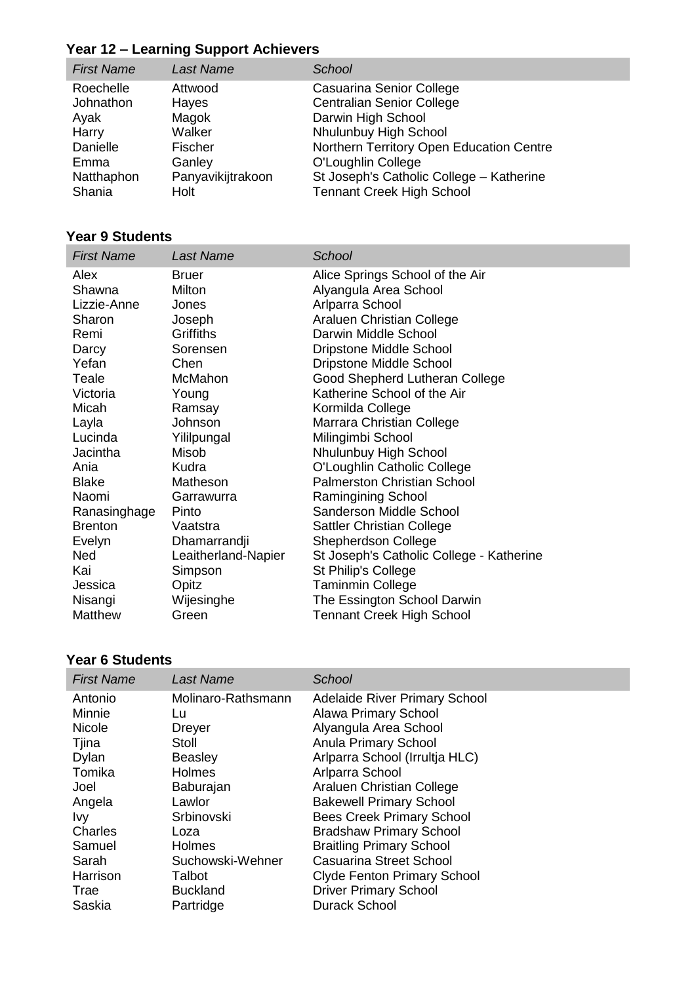# **Year 12 – Learning Support Achievers**

| <b>First Name</b> | <b>Last Name</b>  | School                                   |
|-------------------|-------------------|------------------------------------------|
| Roechelle         | Attwood           | Casuarina Senior College                 |
| Johnathon         | Hayes             | <b>Centralian Senior College</b>         |
| Ayak              | Magok             | Darwin High School                       |
| Harry             | Walker            | Nhulunbuy High School                    |
| Danielle          | Fischer           | Northern Territory Open Education Centre |
| Emma              | Ganley            | O'Loughlin College                       |
| Natthaphon        | Panyavikijtrakoon | St Joseph's Catholic College - Katherine |
| Shania            | Holt              | <b>Tennant Creek High School</b>         |

## **Year 9 Students**

| <b>First Name</b> | <b>Last Name</b>    | School                                   |
|-------------------|---------------------|------------------------------------------|
| Alex              | <b>Bruer</b>        | Alice Springs School of the Air          |
| Shawna            | Milton              | Alyangula Area School                    |
| Lizzie-Anne       | Jones               | Arlparra School                          |
| Sharon            | Joseph              | Araluen Christian College                |
| Remi              | Griffiths           | Darwin Middle School                     |
| Darcy             | Sorensen            | Dripstone Middle School                  |
| Yefan             | Chen                | <b>Dripstone Middle School</b>           |
| Teale             | <b>McMahon</b>      | Good Shepherd Lutheran College           |
| Victoria          | Young               | Katherine School of the Air              |
| Micah             | Ramsay              | Kormilda College                         |
| Layla             | Johnson             | Marrara Christian College                |
| Lucinda           | Yililpungal         | Milingimbi School                        |
| Jacintha          | Misob               | Nhulunbuy High School                    |
| Ania              | Kudra               | O'Loughlin Catholic College              |
| <b>Blake</b>      | Matheson            | <b>Palmerston Christian School</b>       |
| Naomi             | Garrawurra          | <b>Ramingining School</b>                |
| Ranasinghage      | Pinto               | Sanderson Middle School                  |
| <b>Brenton</b>    | Vaatstra            | <b>Sattler Christian College</b>         |
| Evelyn            | Dhamarrandji        | <b>Shepherdson College</b>               |
| <b>Ned</b>        | Leaitherland-Napier | St Joseph's Catholic College - Katherine |
| Kai               | Simpson             | St Philip's College                      |
| Jessica           | Opitz               | Taminmin College                         |
| Nisangi           | Wijesinghe          | The Essington School Darwin              |
| Matthew           | Green               | <b>Tennant Creek High School</b>         |

### **Year 6 Students**

| <b>First Name</b> | Last Name          | School                             |
|-------------------|--------------------|------------------------------------|
| Antonio           | Molinaro-Rathsmann | Adelaide River Primary School      |
| Minnie            | Lu                 | <b>Alawa Primary School</b>        |
| <b>Nicole</b>     | <b>Dreyer</b>      | Alyangula Area School              |
| Tjina             | Stoll              | Anula Primary School               |
| Dylan             | Beasley            | Arlparra School (Irrultja HLC)     |
| Tomika            | <b>Holmes</b>      | Arlparra School                    |
| Joel              | Baburajan          | Araluen Christian College          |
| Angela            | Lawlor             | <b>Bakewell Primary School</b>     |
| <b>Ivy</b>        | Srbinovski         | <b>Bees Creek Primary School</b>   |
| Charles           | Loza               | <b>Bradshaw Primary School</b>     |
| Samuel            | <b>Holmes</b>      | <b>Braitling Primary School</b>    |
| Sarah             | Suchowski-Wehner   | <b>Casuarina Street School</b>     |
| Harrison          | Talbot             | <b>Clyde Fenton Primary School</b> |
| Trae              | <b>Buckland</b>    | <b>Driver Primary School</b>       |
| Saskia            | Partridge          | <b>Durack School</b>               |